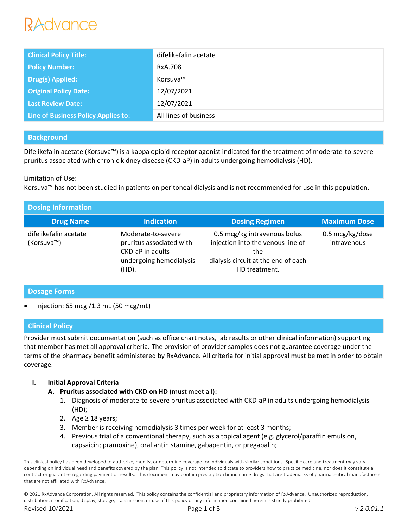# RAdvance

| <b>Clinical Policy Title:</b>       | difelikefalin acetate |
|-------------------------------------|-----------------------|
| <b>Policy Number:</b>               | RxA.708               |
| <b>Drug(s) Applied:</b>             | Korsuva™              |
| <b>Original Policy Date:</b>        | 12/07/2021            |
| <b>Last Review Date:</b>            | 12/07/2021            |
| Line of Business Policy Applies to: | All lines of business |

# **Background**

Difelikefalin acetate (Korsuva™) is a kappa opioid receptor agonist indicated for the treatment of moderate-to-severe pruritus associated with chronic kidney disease (CKD-aP) in adults undergoing hemodialysis (HD).

## Limitation of Use:

Korsuva™ has not been studied in patients on peritoneal dialysis and is not recommended for use in this population.

| <b>Dosing Information</b>           |                                                                                                        |                                                                                                                                  |                                |  |  |
|-------------------------------------|--------------------------------------------------------------------------------------------------------|----------------------------------------------------------------------------------------------------------------------------------|--------------------------------|--|--|
| <b>Drug Name</b>                    | <b>Indication</b>                                                                                      | <b>Dosing Regimen</b>                                                                                                            | <b>Maximum Dose</b>            |  |  |
| difelikefalin acetate<br>(Korsuva™) | Moderate-to-severe<br>pruritus associated with<br>CKD-aP in adults<br>undergoing hemodialysis<br>(HD). | 0.5 mcg/kg intravenous bolus<br>injection into the venous line of<br>the<br>dialysis circuit at the end of each<br>HD treatment. | 0.5 mcg/kg/dose<br>intravenous |  |  |

# **Dosage Forms**

Injection: 65 mcg /1.3 mL (50 mcg/mL)

# **Clinical Policy**

Provider must submit documentation (such as office chart notes, lab results or other clinical information) supporting that member has met all approval criteria. The provision of provider samples does not guarantee coverage under the terms of the pharmacy benefit administered by RxAdvance. All criteria for initial approval must be met in order to obtain coverage.

## **I. Initial Approval Criteria**

- **A. Pruritus associated with CKD on HD** (must meet all)**:**
	- 1. Diagnosis of moderate-to-severe pruritus associated with CKD-aP in adults undergoing hemodialysis (HD);
	- 2. Age  $\geq$  18 years;
	- 3. Member is receiving hemodialysis 3 times per week for at least 3 months;
	- 4. Previous trial of a conventional therapy, such as a topical agent (e.g. glycerol/paraffin emulsion, capsaicin; pramoxine), oral antihistamine, gabapentin, or pregabalin;

This clinical policy has been developed to authorize, modify, or determine coverage for individuals with similar conditions. Specific care and treatment may vary depending on individual need and benefits covered by the plan. This policy is not intended to dictate to providers how to practice medicine, nor does it constitute a contract or guarantee regarding payment or results. This document may contain prescription brand name drugs that are trademarks of pharmaceutical manufacturers that are not affiliated with RxAdvance.

© 2021 RxAdvance Corporation. All rights reserved. This policy contains the confidential and proprietary information of RxAdvance. Unauthorized reproduction, distribution, modification, display, storage, transmission, or use of this policy or any information contained herein is strictly prohibited. Revised 10/2021 Page 1 of 3 *v 2.0.01.1*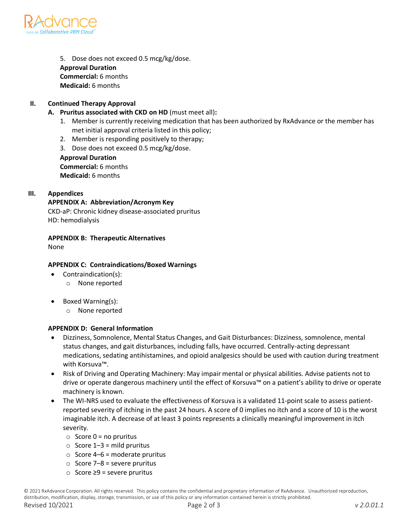

5. Dose does not exceed 0.5 mcg/kg/dose. **Approval Duration Commercial:** 6 months **Medicaid:** 6 months

# **II. Continued Therapy Approval**

# **A. Pruritus associated with CKD on HD** (must meet all)**:**

- 1. Member is currently receiving medication that has been authorized by RxAdvance or the member has met initial approval criteria listed in this policy;
- 2. Member is responding positively to therapy;
- 3. Dose does not exceed 0.5 mcg/kg/dose.

**Approval Duration Commercial:** 6 months **Medicaid:** 6 months

## **III. Appendices**

## **APPENDIX A: Abbreviation/Acronym Key**

CKD-aP: Chronic kidney disease-associated pruritus HD: hemodialysis

## **APPENDIX B: Therapeutic Alternatives**

None

## **APPENDIX C: Contraindications/Boxed Warnings**

- Contraindication(s): o None reported
- Boxed Warning(s):
	- o None reported

## **APPENDIX D: General Information**

- Dizziness, Somnolence, Mental Status Changes, and Gait Disturbances: Dizziness, somnolence, mental status changes, and gait disturbances, including falls, have occurred. Centrally-acting depressant medications, sedating antihistamines, and opioid analgesics should be used with caution during treatment with Korsuva™.
- Risk of Driving and Operating Machinery: May impair mental or physical abilities. Advise patients not to drive or operate dangerous machinery until the effect of Korsuva™ on a patient's ability to drive or operate machinery is known.
- The WI-NRS used to evaluate the effectiveness of Korsuva is a validated 11-point scale to assess patientreported severity of itching in the past 24 hours. A score of 0 implies no itch and a score of 10 is the worst imaginable itch. A decrease of at least 3 points represents a clinically meaningful improvement in itch severity.
	- $\circ$  Score 0 = no pruritus
	- $\circ$  Score 1–3 = mild pruritus
	- $\circ$  Score 4–6 = moderate pruritus
	- $\circ$  Score 7–8 = severe pruritus
	- o Score ≥9 = severe pruritus

© 2021 RxAdvance Corporation. All rights reserved. This policy contains the confidential and proprietary information of RxAdvance. Unauthorized reproduction, distribution, modification, display, storage, transmission, or use of this policy or any information contained herein is strictly prohibited. Revised 10/2021 Page 2 of 3 *v 2.0.01.1*